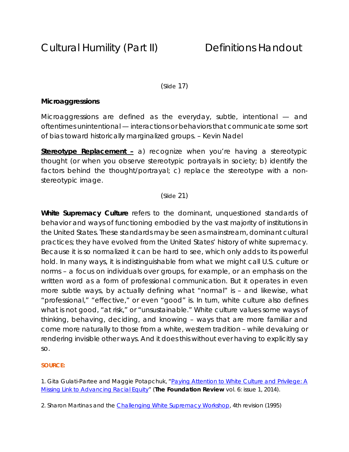# (Slide 17)

# **Microaggressions**

Microaggressions are defined as the everyday, subtle, intentional — and oftentimes unintentional — interactions or behaviors that communicate some sort of bias toward historically marginalized groups. – Kevin Nadel

**Stereotype Replacement –** a) recognize when you're having a stereotypic thought (or when you observe stereotypic portrayals in society; b) identify the factors behind the thought/portrayal; c) replace the stereotype with a nonstereotypic image.

# (Slide 21)

**White Supremacy Culture** refers to the dominant, unquestioned standards of behavior and ways of functioning embodied by the vast majority of institutions in the United States. These standards may be seen as mainstream, dominant cultural practices; they have evolved from the United States' history of white supremacy. Because it is so normalized it can be hard to see, which only adds to its powerful hold. In many ways, it is indistinguishable from what we might call U.S. culture or norms – a focus on individuals over groups, for example, or an emphasis on the written word as a form of professional communication. But it operates in even more subtle ways, by actually defining what "normal" is – and likewise, what "professional," "effective," or even "good" is. In turn, white culture also defines what is not good, "at risk," or "unsustainable." White culture values some ways of thinking, behaving, deciding, and knowing – ways that are more familiar and come more naturally to those from a white, western tradition – while devaluing or rendering invisible other ways. And it does this without ever having to explicitly say so.

#### **SOURCE:**

1. Gita Gulati-Partee and Maggie Potapchuk, "Paying Attention to White Culture and Privilege: A Missing Link to Advancing Racial Equity" (*The Foundation Review* vol. 6: issue 1, 2014).

2. Sharon Martinas and the Challenging White Supremacy Workshop, 4th revision (1995)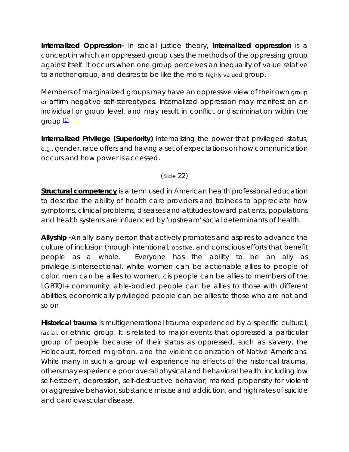**Internalized Oppression-** In social justice theory, **internalized oppression** is a concept in which an oppressed group uses the methods of the oppressing group against itself. It occurs when one group perceives an inequality of value relative to another group, and desires to be like the more highly valued group.

Members of marginalized groups may have an oppressive view of their own group or affirm negative self-stereotypes. Internalized oppression may manifest on an individual or group level, and may result in conflict or discrimination within the group. $[1]$ 

**Internalized Privilege (Superiority)** Internalizing the power that privileged status, e.g., gender, race offers and having a set of expectations on how communication occurs and how power is accessed.

(Slide 22)

**Structural competency** is a term used in American health professional education to describe the ability of health care providers and trainees to appreciate how symptoms, clinical problems, diseases and attitudes toward patients, populations and health systems are influenced by 'upstream' social determinants of health.

**Allyship -**An ally is any person that actively promotes and aspires to advance the culture of inclusion through intentional, positive, and conscious efforts that benefit people as a whole.Everyone has the ability to be an ally as privilege is intersectional, white women can be actionable allies to people of color, men can be allies to women, cis people can be allies to members of the LGBTQI+ community, able-bodied people can be allies to those with different abilities, economically privileged people can be allies to those who are not and so on

**Historical trauma** is multigenerational trauma experienced by a specific cultural, racial, or ethnic group. It is related to major events that oppressed a particular group of people because of their status as oppressed, such as slavery, the Holocaust, forced migration, and the violent colonization of Native Americans. While many in such a group will experience no effects of the historical trauma, others may experience poor overall physical and behavioral health, including low self-esteem, depression, self-destructive behavior, marked propensity for violent or aggressive behavior, substance misuse and addiction, and high rates of suicide and cardiovascular disease.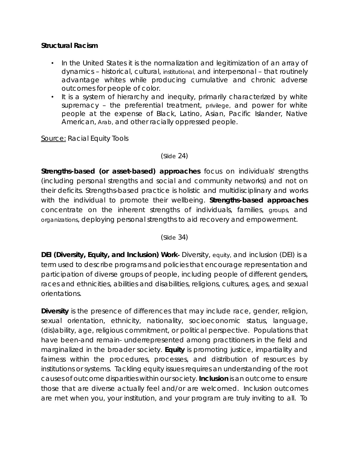# **Structural Racism**

- In the United States it is the normalization and legitimization of an array of dynamics – historical, cultural, institutional, and interpersonal – that routinely advantage whites while producing cumulative and chronic adverse outcomes for people of color.
- It is a system of hierarchy and inequity, primarily characterized by white supremacy – the preferential treatment, privilege, and power for white people at the expense of Black, Latino, Asian, Pacific Islander, Native American, Arab, and other racially oppressed people.

Source: Racial Equity Tools

### (Slide 24)

**Strengths-based (or asset-based) approaches** focus on individuals' strengths (including personal strengths and social and community networks) and not on their deficits. Strengths-based practice is holistic and multidisciplinary and works with the individual to promote their wellbeing. **Strengths-based approaches** concentrate on the inherent strengths of individuals, families, groups, and organizations, deploying personal strengths to aid recovery and empowerment.

(Slide 34)

**DEI (Diversity, Equity, and Inclusion) Work-** Diversity, equity, and inclusion (DEI) is a term used to describe programs and policies that encourage representation and participation of diverse groups of people, including people of different genders, races and ethnicities, abilities and disabilities, religions, cultures, ages, and sexual orientations.

**Diversity** is the presence of differences that may include race, gender, religion, sexual orientation, ethnicity, nationality, socioeconomic status, language, (dis)ability, age, religious commitment, or political perspective. Populations that have been-and remain- underrepresented among practitioners in the field and marginalized in the broader society. **Equity** is promoting justice, impartiality and fairness within the procedures, processes, and distribution of resources by institutions or systems. Tackling equity issues requires an understanding of the root causes of outcome disparities within our society. **Inclusion** is an outcome to ensure those that are diverse actually feel and/or are welcomed. Inclusion outcomes are met when you, your institution, and your program are truly inviting to all. To